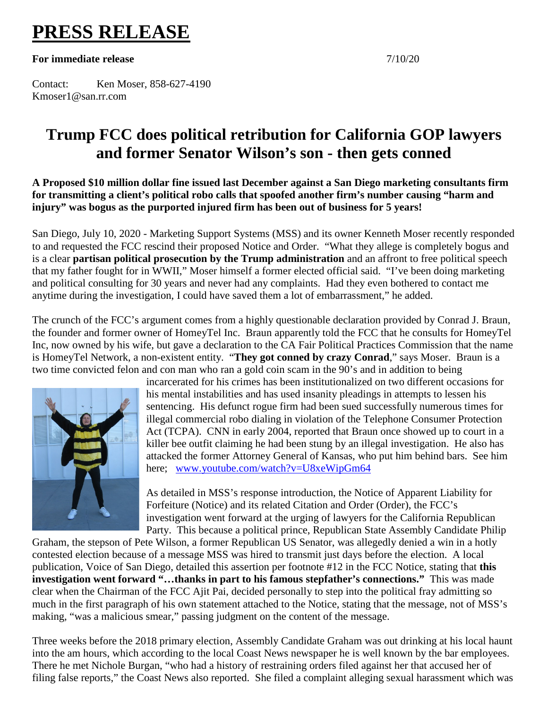## **PRESS RELEASE**

**For immediate release** 7/10/20

Contact: Ken Moser, 858-627-4190 Kmoser1@san.rr.com

## **Trump FCC does political retribution for California GOP lawyers and former Senator Wilson's son - then gets conned**

**A Proposed \$10 million dollar fine issued last December against a San Diego marketing consultants firm for transmitting a client's political robo calls that spoofed another firm's number causing "harm and injury" was bogus as the purported injured firm has been out of business for 5 years!** 

San Diego, July 10, 2020 - Marketing Support Systems (MSS) and its owner Kenneth Moser recently responded to and requested the FCC rescind their proposed Notice and Order. "What they allege is completely bogus and is a clear **partisan political prosecution by the Trump administration** and an affront to free political speech that my father fought for in WWII," Moser himself a former elected official said. "I've been doing marketing and political consulting for 30 years and never had any complaints. Had they even bothered to contact me anytime during the investigation, I could have saved them a lot of embarrassment," he added.

The crunch of the FCC's argument comes from a highly questionable declaration provided by Conrad J. Braun, the founder and former owner of HomeyTel Inc. Braun apparently told the FCC that he consults for HomeyTel Inc, now owned by his wife, but gave a declaration to the CA Fair Political Practices Commission that the name is HomeyTel Network, a non-existent entity. "**They got conned by crazy Conrad**," says Moser. Braun is a two time convicted felon and con man who ran a gold coin scam in the 90's and in addition to being



incarcerated for his crimes has been institutionalized on two different occasions for his mental instabilities and has used insanity pleadings in attempts to lessen his sentencing. His defunct rogue firm had been sued successfully numerous times for illegal commercial robo dialing in violation of the Telephone Consumer Protection Act (TCPA). CNN in early 2004, reported that Braun once showed up to court in a killer bee outfit claiming he had been stung by an illegal investigation. He also has attacked the former Attorney General of Kansas, who put him behind bars. See him here; [www.youtube.com/watch?v=U8xeWipGm64](http://www.youtube.com/watch?v=U8xeWipGm64)

As detailed in MSS's response introduction, the Notice of Apparent Liability for Forfeiture (Notice) and its related Citation and Order (Order), the FCC's investigation went forward at the urging of lawyers for the California Republican Party. This because a political prince, Republican State Assembly Candidate Philip

Graham, the stepson of Pete Wilson, a former Republican US Senator, was allegedly denied a win in a hotly contested election because of a message MSS was hired to transmit just days before the election. A local publication, Voice of San Diego, detailed this assertion per footnote #12 in the FCC Notice, stating that **this investigation went forward "…thanks in part to his famous stepfather's connections."** This was made clear when the Chairman of the FCC Ajit Pai, decided personally to step into the political fray admitting so much in the first paragraph of his own statement attached to the Notice, stating that the message, not of MSS's making, "was a malicious smear," passing judgment on the content of the message.

Three weeks before the 2018 primary election, Assembly Candidate Graham was out drinking at his local haunt into the am hours, which according to the local Coast News newspaper he is well known by the bar employees. There he met Nichole Burgan, "who had a history of restraining orders filed against her that accused her of filing false reports," the Coast News also reported. She filed a complaint alleging sexual harassment which was